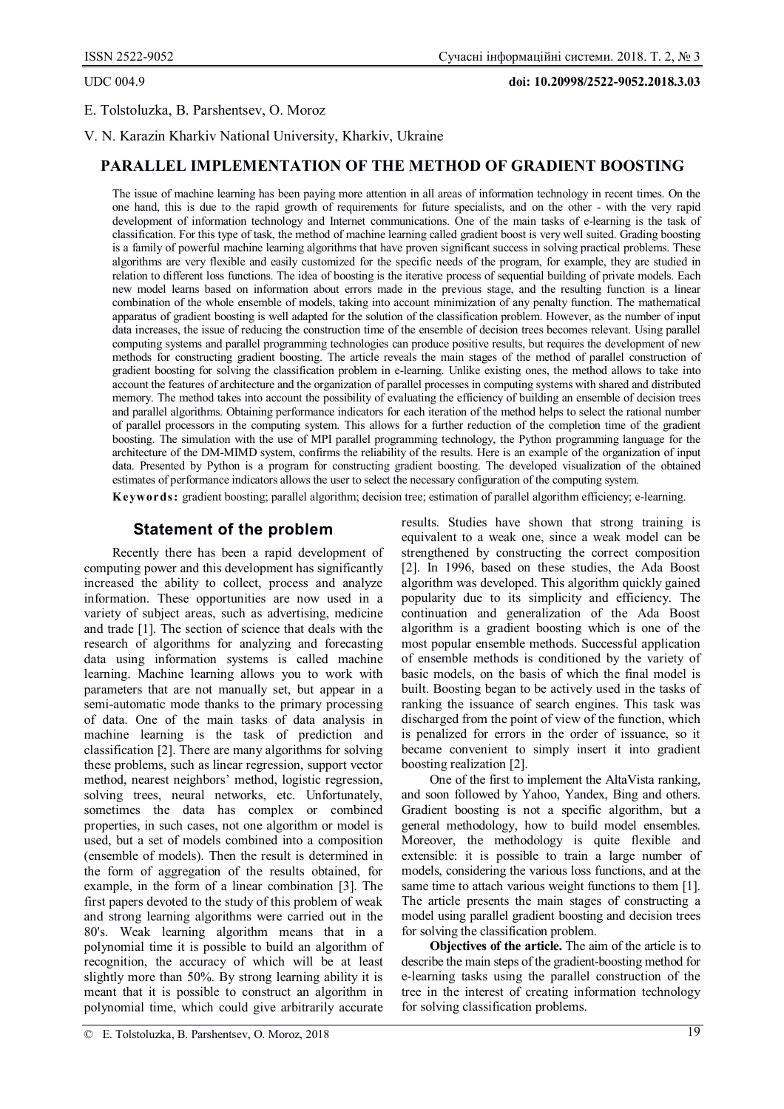UDC 004.9 **doi: 10.20998/2522-9052.2018.3.03**

## E. Tolstoluzka, B. Parshentsev, O. Moroz

V. N. Karazin Kharkiv National University, Kharkiv, Ukraine

## **PARALLEL IMPLEMENTATION OF THE METHOD OF GRADIENT BOOSTING**

The issue of machine learning has been paying more attention in all areas of information technology in recent times. On the one hand, this is due to the rapid growth of requirements for future specialists, and on the other - with the very rapid development of information technology and Internet communications. One of the main tasks of e-learning is the task of classification. For this type of task, the method of machine learning called gradient boost is very well suited. Grading boosting is a family of powerful machine learning algorithms that have proven significant success in solving practical problems. These algorithms are very flexible and easily customized for the specific needs of the program, for example, they are studied in relation to different loss functions. The idea of boosting is the iterative process of sequential building of private models. Each new model learns based on information about errors made in the previous stage, and the resulting function is a linear combination of the whole ensemble of models, taking into account minimization of any penalty function. The mathematical apparatus of gradient boosting is well adapted for the solution of the classification problem. However, as the number of input data increases, the issue of reducing the construction time of the ensemble of decision trees becomes relevant. Using parallel computing systems and parallel programming technologies can produce positive results, but requires the development of new methods for constructing gradient boosting. The article reveals the main stages of the method of parallel construction of gradient boosting for solving the classification problem in e-learning. Unlike existing ones, the method allows to take into account the features of architecture and the organization of parallel processes in computing systems with shared and distributed memory. The method takes into account the possibility of evaluating the efficiency of building an ensemble of decision trees and parallel algorithms. Obtaining performance indicators for each iteration of the method helps to select the rational number of parallel processors in the computing system. This allows for a further reduction of the completion time of the gradient boosting. The simulation with the use of MPI parallel programming technology, the Python programming language for the architecture of the DM-MIMD system, confirms the reliability of the results. Here is an example of the organization of input data. Presented by Python is a program for constructing gradient boosting. The developed visualization of the obtained estimates of performance indicators allows the user to select the necessary configuration of the computing system.

**Keywords:** gradient boosting; parallel algorithm; decision tree; estimation of parallel algorithm efficiency; e-learning.

# **Statement of the problem**

Recently there has been a rapid development of computing power and this development has significantly increased the ability to collect, process and analyze information. These opportunities are now used in a variety of subject areas, such as advertising, medicine and trade [1]. The section of science that deals with the research of algorithms for analyzing and forecasting data using information systems is called machine learning. Machine learning allows you to work with parameters that are not manually set, but appear in a semi-automatic mode thanks to the primary processing of data. One of the main tasks of data analysis in machine learning is the task of prediction and classification [2]. There are many algorithms for solving these problems, such as linear regression, support vector method, nearest neighbors' method, logistic regression, solving trees, neural networks, etc. Unfortunately, sometimes the data has complex or combined properties, in such cases, not one algorithm or model is used, but a set of models combined into a composition (ensemble of models). Then the result is determined in the form of aggregation of the results obtained, for example, in the form of a linear combination [3]. The first papers devoted to the study of this problem of weak and strong learning algorithms were carried out in the 80's. Weak learning algorithm means that in a polynomial time it is possible to build an algorithm of recognition, the accuracy of which will be at least slightly more than 50%. By strong learning ability it is meant that it is possible to construct an algorithm in polynomial time, which could give arbitrarily accurate

results. Studies have shown that strong training is equivalent to a weak one, since a weak model can be strengthened by constructing the correct composition [2]. In 1996, based on these studies, the Ada Boost algorithm was developed. This algorithm quickly gained popularity due to its simplicity and efficiency. The continuation and generalization of the Ada Boost algorithm is a gradient boosting which is one of the most popular ensemble methods. Successful application of ensemble methods is conditioned by the variety of basic models, on the basis of which the final model is built. Boosting began to be actively used in the tasks of ranking the issuance of search engines. This task was discharged from the point of view of the function, which is penalized for errors in the order of issuance, so it became convenient to simply insert it into gradient boosting realization [2].

One of the first to implement the AltaVista ranking, and soon followed by Yahoo, Yandex, Bing and others. Gradient boosting is not a specific algorithm, but a general methodology, how to build model ensembles. Moreover, the methodology is quite flexible and extensible: it is possible to train a large number of models, considering the various loss functions, and at the same time to attach various weight functions to them [1]. The article presents the main stages of constructing a model using parallel gradient boosting and decision trees for solving the classification problem.

**Objectives of the article.** The aim of the article is to describe the main steps of the gradient-boosting method for e-learning tasks using the parallel construction of the tree in the interest of creating information technology for solving classification problems.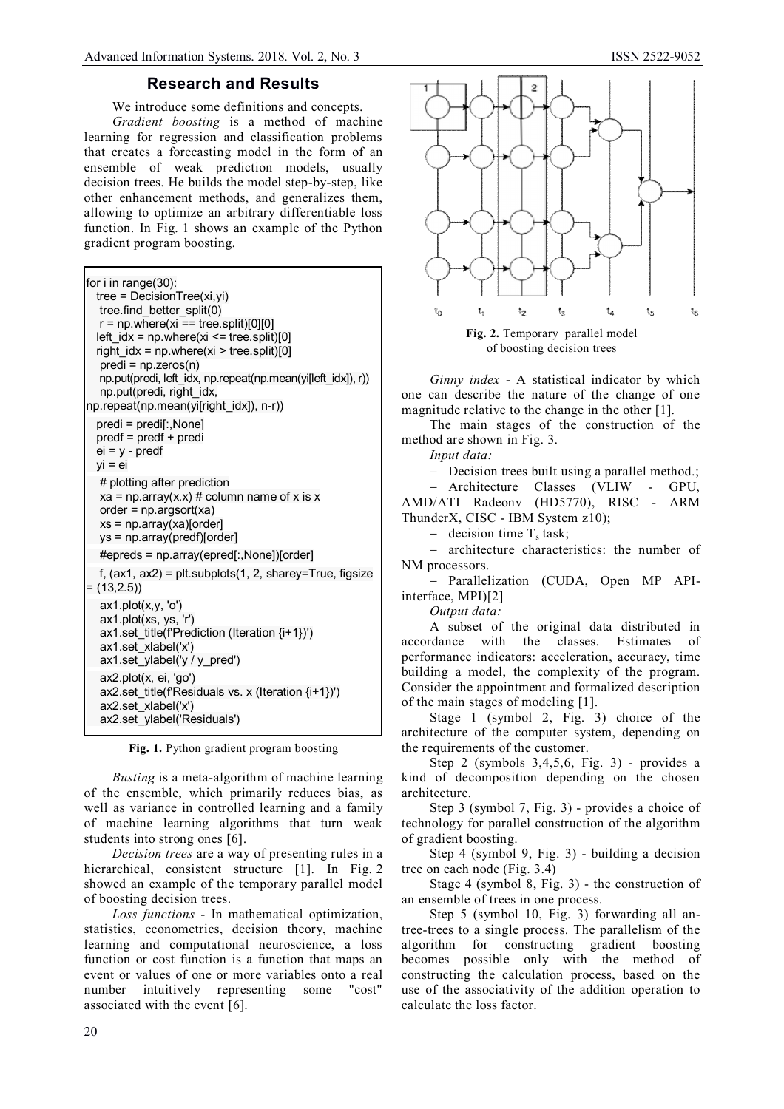### **Research and Results**

We introduce some definitions and concepts.

*Gradient boosting* is a method of machine learning for regression and classification problems that creates a forecasting model in the form of an ensemble of weak prediction models, usually decision trees. He builds the model step-by-step, like other enhancement methods, and generalizes them, allowing to optimize an arbitrary differentiable loss function. In Fig. 1 shows an example of the Python gradient program boosting.

for i in range(30): tree = DecisionTree(xi,yi) tree.find\_better\_split(0)  $r = np$ .where(xi == tree.split)[0][0]  $left\_idx = np.where(xi \leq tree.split)[0]$ right  $idx = np.where(xi > tree.split)[0]$  predi = np.zeros(n) np.put(predi, left\_idx, np.repeat(np.mean(yi[left\_idx]), r)) np.put(predi, right\_idx, np.repeat(np.mean(yi[right\_idx]), n-r)) predi = predi[:,None] predf = predf + predi ei = y - predf  $vi = ei$  # plotting after prediction  $xa = np.array(x.x) # column name of x is x$  order = np.argsort(xa) xs = np.array(xa)[order] ys = np.array(predf)[order] #epreds = np.array(epred[:,None])[order] f,  $(ax1, ax2) = plt.subplots(1, 2, sharey=True, figsize$  $=$  (13,2.5)) ax1.plot(x,y, 'o') ax1.plot(xs, ys, 'r') ax1.set\_title(f'Prediction (Iteration {i+1})') ax1.set\_xlabel('x') ax1.set\_ylabel('y / y\_pred') ax2.plot(x, ei, 'go') ax2.set\_title(f'Residuals vs. x (Iteration  $\{i+1\}'$ )') ax2.set\_xlabel('x') ax2.set\_ylabel('Residuals')

**Fig. 1.** Python gradient program boosting

*Busting* is a meta-algorithm of machine learning of the ensemble, which primarily reduces bias, as well as variance in controlled learning and a family of machine learning algorithms that turn weak students into strong ones [6].

*Decision trees* are a way of presenting rules in a hierarchical, consistent structure [1]. In Fig. 2 showed an example of the temporary parallel model of boosting decision trees.

*Loss functions* - In mathematical optimization, statistics, econometrics, decision theory, machine learning and computational neuroscience, a loss function or cost function is a function that maps an event or values of one or more variables onto a real number intuitively representing some "cost" associated with the event [6].



**Fig. 2.** Temporary parallel model of boosting decision trees

*Ginny index* - A statistical indicator by which one can describe the nature of the change of one magnitude relative to the change in the other [1].

The main stages of the construction of the method are shown in Fig. 3.

*Input data:*

- Decision trees built using a parallel method.;

 Architecture Classes (VLIW - GPU, AMD/ATI Radeonv (HD5770), RISC - ARM ThunderX, CISC - IBM System z10);

- decision time  $T_s$  task;

- architecture characteristics: the number of NM processors.

- Parallelization (CUDA, Open MP APIinterface, MPI)[2]

*Output data:*

A subset of the original data distributed in accordance with the classes. Estimates of performance indicators: acceleration, accuracy, time building a model, the complexity of the program. Consider the appointment and formalized description of the main stages of modeling [1].

Stage 1 (symbol 2, Fig. 3) choice of the architecture of the computer system, depending on the requirements of the customer.

Step 2 (symbols 3,4,5,6, Fig. 3) - provides a kind of decomposition depending on the chosen architecture.

Step 3 (symbol 7, Fig. 3) - provides a choice of technology for parallel construction of the algorithm of gradient boosting.

Step 4 (symbol 9, Fig. 3) - building a decision tree on each node (Fig. 3.4)

Stage 4 (symbol 8, Fig. 3) - the construction of an ensemble of trees in one process.

Step 5 (symbol 10, Fig. 3) forwarding all antree-trees to a single process. The parallelism of the algorithm for constructing gradient boosting becomes possible only with the method of constructing the calculation process, based on the use of the associativity of the addition operation to calculate the loss factor.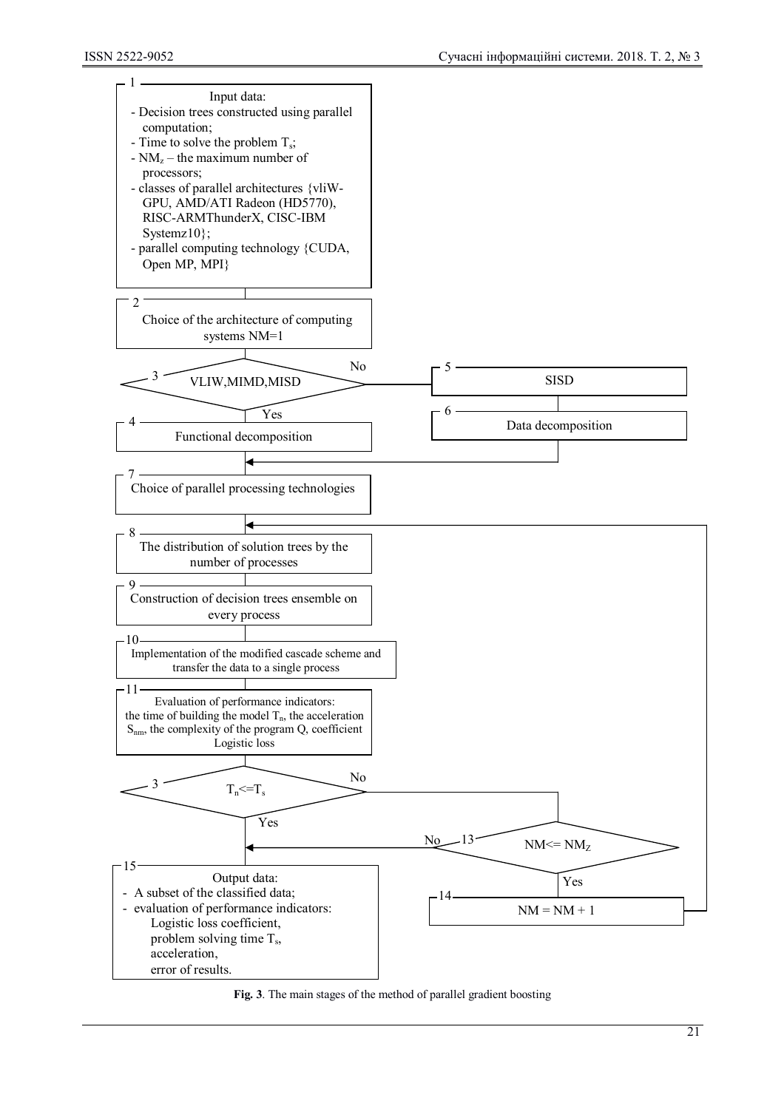

**Fig. 3**. The main stages of the method of parallel gradient boosting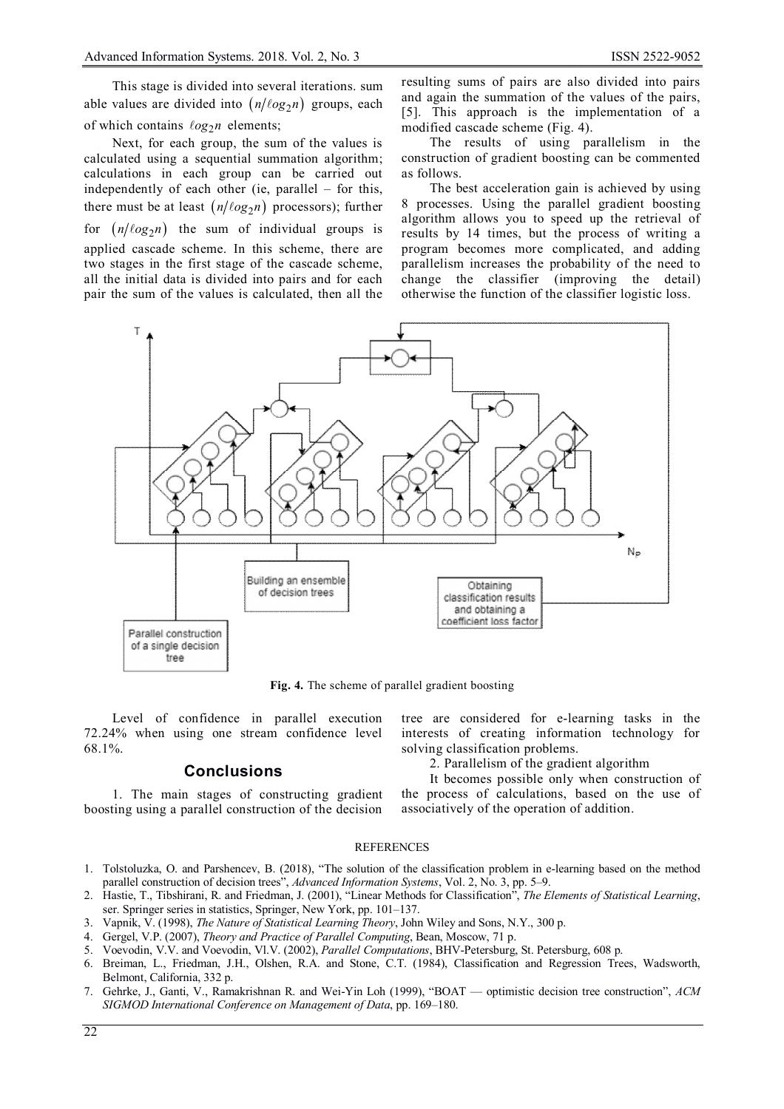This stage is divided into several iterations. sum able values are divided into  $(n/\ell o g_2 n)$  groups, each of which contains  $log_2 n$  elements;

Next, for each group, the sum of the values is calculated using a sequential summation algorithm; calculations in each group cаn be carried out independently of each other (ie, parallel – for this, there must be at least  $(n/\ell o g<sub>2</sub> n)$  processors); further for  $(n/\ell o g_2 n)$  the sum of individual groups is applied cascade scheme. In this scheme, there are two stages in the first stage of the cascade scheme, all the initial data is divided into pairs and for each pair the sum of the values is calculated, then all the

resulting sums of pairs are also divided into pairs and again the summation of the values of the pairs, [5]. This approach is the implementation of a modified cascade scheme (Fig. 4).

The results of using parallelism in the construction of gradient boosting can be commented as follows.

The best acceleration gain is achieved by using 8 processes. Using the parallel gradient boosting algorithm allows you to speed up the retrieval of results by 14 times, but the process of writing a program becomes more complicated, and adding parallelism increases the probability of the need to change the classifier (improving the detail) otherwise the function of the classifier logistic loss.



**Fig. 4.** The scheme of parallel gradient boosting

Level of confidence in parallel execution 72.24% when using one stream confidence level 68.1%.

## **Conclusions**

1. The main stages of constructing gradient boosting using a parallel construction of the decision tree are considered for e-learning tasks in the interests of creating information technology for solving classification problems.

2. Parallelism of the gradient algorithm

It becomes possible only when construction of the process of calculations, based on the use of associatively of the operation of addition.

#### **REFERENCES**

- 1. Tolstoluzka, O. and Parshencev, B. (2018), "The solution of the classification problem in e-learning based on the method parallel construction of decision trees", *Advanced Information Systems*, Vol. 2, No. 3, pp. 5–9.
- 2. Hastie, T., Tibshirani, R. and Friedman, J. (2001), "Linear Methods for Classification", *The Elements of Statistical Learning*, ser. Springer series in statistics, Springer, New York, pp. 101–137.
- 3. Vapnik, V. (1998), *The Nature of Statistical Learning Theory*, John Wiley and Sons, N.Y., 300 p.
- 4. Gergel, V.P. (2007), *Theory and Practice of Parallel Computing*, Bean, Moscow, 71 p.
- 5. Voevodin, V.V. and Voevodin, Vl.V. (2002), *Parallel Computations*, BHV-Petersburg, St. Petersburg, 608 p.
- 6. Breiman, L., Friedman, J.H., Olshen, R.A. and Stone, C.T. (1984), Classification and Regression Trees, Wadsworth, Belmont, California, 332 p.
- 7. Gehrke, J., Ganti, V., Ramakrishnan R. and Wei-Yin Loh (1999), "BOAT optimistic decision tree construction", *ACM SIGMOD International Conference on Management of Data*, pp. 169–180.